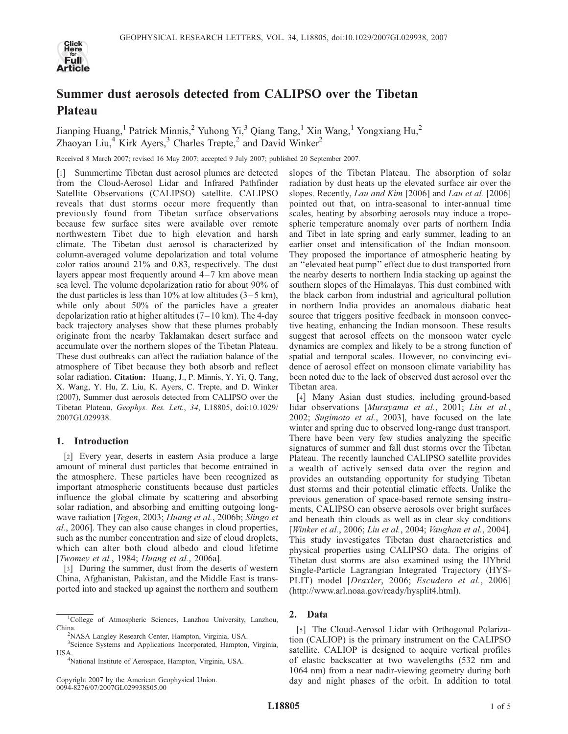

# Summer dust aerosols detected from CALIPSO over the Tibetan Plateau

Jianping Huang,<sup>1</sup> Patrick Minnis,<sup>2</sup> Yuhong Yi,<sup>3</sup> Qiang Tang,<sup>1</sup> Xin Wang,<sup>1</sup> Yongxiang Hu,<sup>2</sup> Zhaoyan Liu, $4$  Kirk Ayers, $3$  Charles Trepte, $2$  and David Winker<sup>2</sup>

Received 8 March 2007; revised 16 May 2007; accepted 9 July 2007; published 20 September 2007.

[1] Summertime Tibetan dust aerosol plumes are detected from the Cloud-Aerosol Lidar and Infrared Pathfinder Satellite Observations (CALIPSO) satellite. CALIPSO reveals that dust storms occur more frequently than previously found from Tibetan surface observations because few surface sites were available over remote northwestern Tibet due to high elevation and harsh climate. The Tibetan dust aerosol is characterized by column-averaged volume depolarization and total volume color ratios around 21% and 0.83, respectively. The dust layers appear most frequently around  $4-7$  km above mean sea level. The volume depolarization ratio for about 90% of the dust particles is less than  $10\%$  at low altitudes  $(3-5 \text{ km})$ , while only about 50% of the particles have a greater depolarization ratio at higher altitudes  $(7-10 \text{ km})$ . The 4-day back trajectory analyses show that these plumes probably originate from the nearby Taklamakan desert surface and accumulate over the northern slopes of the Tibetan Plateau. These dust outbreaks can affect the radiation balance of the atmosphere of Tibet because they both absorb and reflect solar radiation. Citation: Huang, J., P. Minnis, Y. Yi, Q. Tang, X. Wang, Y. Hu, Z. Liu, K. Ayers, C. Trepte, and D. Winker (2007), Summer dust aerosols detected from CALIPSO over the Tibetan Plateau, Geophys. Res. Lett., 34, L18805, doi:10.1029/ 2007GL029938.

## 1. Introduction

[2] Every year, deserts in eastern Asia produce a large amount of mineral dust particles that become entrained in the atmosphere. These particles have been recognized as important atmospheric constituents because dust particles influence the global climate by scattering and absorbing solar radiation, and absorbing and emitting outgoing longwave radiation [Tegen, 2003; Huang et al., 2006b; Slingo et al., 2006]. They can also cause changes in cloud properties, such as the number concentration and size of cloud droplets, which can alter both cloud albedo and cloud lifetime [Twomey et al., 1984; Huang et al., 2006a].

[3] During the summer, dust from the deserts of western China, Afghanistan, Pakistan, and the Middle East is transported into and stacked up against the northern and southern slopes of the Tibetan Plateau. The absorption of solar radiation by dust heats up the elevated surface air over the slopes. Recently, *Lau and Kim* [2006] and *Lau et al.* [2006] pointed out that, on intra-seasonal to inter-annual time scales, heating by absorbing aerosols may induce a tropospheric temperature anomaly over parts of northern India and Tibet in late spring and early summer, leading to an earlier onset and intensification of the Indian monsoon. They proposed the importance of atmospheric heating by an ''elevated heat pump'' effect due to dust transported from the nearby deserts to northern India stacking up against the southern slopes of the Himalayas. This dust combined with the black carbon from industrial and agricultural pollution in northern India provides an anomalous diabatic heat source that triggers positive feedback in monsoon convective heating, enhancing the Indian monsoon. These results suggest that aerosol effects on the monsoon water cycle dynamics are complex and likely to be a strong function of spatial and temporal scales. However, no convincing evidence of aerosol effect on monsoon climate variability has been noted due to the lack of observed dust aerosol over the Tibetan area.

[4] Many Asian dust studies, including ground-based lidar observations [Murayama et al., 2001; Liu et al., 2002; Sugimoto et al., 2003], have focused on the late winter and spring due to observed long-range dust transport. There have been very few studies analyzing the specific signatures of summer and fall dust storms over the Tibetan Plateau. The recently launched CALIPSO satellite provides a wealth of actively sensed data over the region and provides an outstanding opportunity for studying Tibetan dust storms and their potential climatic effects. Unlike the previous generation of space-based remote sensing instruments, CALIPSO can observe aerosols over bright surfaces and beneath thin clouds as well as in clear sky conditions [Winker et al., 2006; Liu et al., 2004; Vaughan et al., 2004]. This study investigates Tibetan dust characteristics and physical properties using CALIPSO data. The origins of Tibetan dust storms are also examined using the HYbrid Single-Particle Lagrangian Integrated Trajectory (HYS-PLIT) model [Draxler, 2006; Escudero et al., 2006] (http://www.arl.noaa.gov/ready/hysplit4.html).

## 2. Data

[5] The Cloud-Aerosol Lidar with Orthogonal Polarization (CALIOP) is the primary instrument on the CALIPSO satellite. CALIOP is designed to acquire vertical profiles of elastic backscatter at two wavelengths (532 nm and 1064 nm) from a near nadir-viewing geometry during both day and night phases of the orbit. In addition to total

<sup>&</sup>lt;sup>1</sup>College of Atmospheric Sciences, Lanzhou University, Lanzhou, China.

<sup>&</sup>lt;sup>2</sup>NASA Langley Research Center, Hampton, Virginia, USA.

<sup>&</sup>lt;sup>3</sup>Science Systems and Applications Incorporated, Hampton, Virginia, USA.

<sup>&</sup>lt;sup>4</sup>National Institute of Aerospace, Hampton, Virginia, USA.

Copyright 2007 by the American Geophysical Union. 0094-8276/07/2007GL029938\$05.00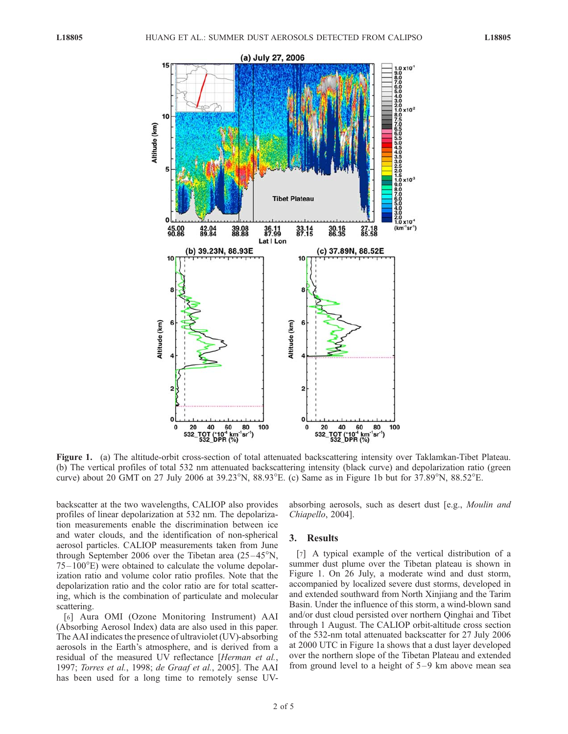

Figure 1. (a) The altitude-orbit cross-section of total attenuated backscattering intensity over Taklamkan-Tibet Plateau. (b) The vertical profiles of total 532 nm attenuated backscattering intensity (black curve) and depolarization ratio (green curve) about 20 GMT on 27 July 2006 at  $39.23^{\circ}$ N,  $88.93^{\circ}$ E. (c) Same as in Figure 1b but for  $37.89^{\circ}$ N,  $88.52^{\circ}$ E.

backscatter at the two wavelengths, CALIOP also provides profiles of linear depolarization at 532 nm. The depolarization measurements enable the discrimination between ice and water clouds, and the identification of non-spherical aerosol particles. CALIOP measurements taken from June through September 2006 over the Tibetan area  $(25-45^{\circ}N,$  $75-100^{\circ}$ E) were obtained to calculate the volume depolarization ratio and volume color ratio profiles. Note that the depolarization ratio and the color ratio are for total scattering, which is the combination of particulate and molecular scattering.

[6] Aura OMI (Ozone Monitoring Instrument) AAI (Absorbing Aerosol Index) data are also used in this paper. The AAI indicates the presence of ultraviolet (UV)-absorbing aerosols in the Earth's atmosphere, and is derived from a residual of the measured UV reflectance [Herman et al., 1997; Torres et al., 1998; de Graaf et al., 2005]. The AAI has been used for a long time to remotely sense UV- absorbing aerosols, such as desert dust [e.g., Moulin and Chiapello, 2004].

### 3. Results

[7] A typical example of the vertical distribution of a summer dust plume over the Tibetan plateau is shown in Figure 1. On 26 July, a moderate wind and dust storm, accompanied by localized severe dust storms, developed in and extended southward from North Xinjiang and the Tarim Basin. Under the influence of this storm, a wind-blown sand and/or dust cloud persisted over northern Qinghai and Tibet through 1 August. The CALIOP orbit-altitude cross section of the 532-nm total attenuated backscatter for 27 July 2006 at 2000 UTC in Figure 1a shows that a dust layer developed over the northern slope of the Tibetan Plateau and extended from ground level to a height of  $5-9$  km above mean sea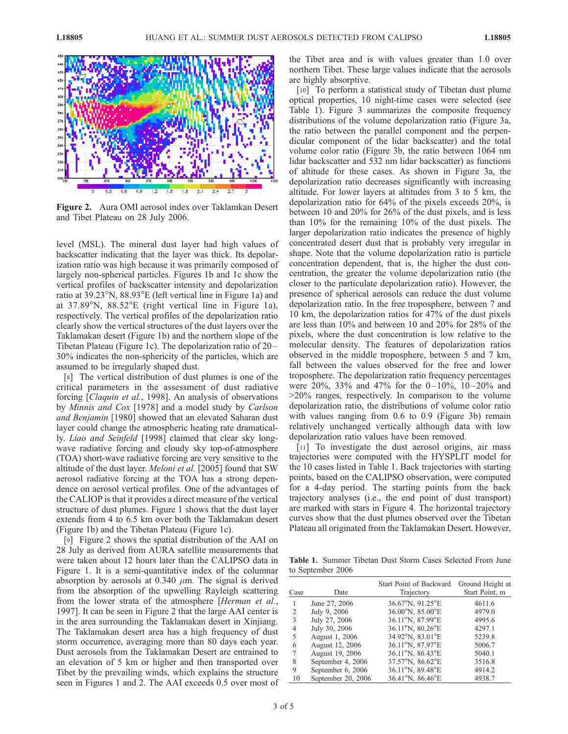

Figure 2. Aura OMI aerosol index over Taklamkan Desert and Tibet Plateau on 28 July 2006.

level (MSL). The mineral dust layer had high values of backscatter indicating that the layer was thick. Its depolarization ratio was high because it was primarily composed of largely non-spherical particles. Figures 1b and 1c show the vertical profiles of backscatter intensity and depolarization ratio at  $39.23^{\circ}$ N,  $88.93^{\circ}$ E (left vertical line in Figure 1a) and at  $37.89^{\circ}$ N,  $88.52^{\circ}$ E (right vertical line in Figure 1a), respectively. The vertical profiles of the depolarization ratio clearly show the vertical structures of the dust layers over the Taklamakan desert (Figure 1b) and the northern slope of the Tibetan Plateau (Figure 1c). The depolarization ratio of 20– 30% indicates the non-sphericity of the particles, which are assumed to be irregularly shaped dust.

[8] The vertical distribution of dust plumes is one of the critical parameters in the assessment of dust radiative forcing [Claquin et al., 1998]. An analysis of observations by Minnis and Cox [1978] and a model study by Carlson and Benjamin [1980] showed that an elevated Saharan dust layer could change the atmospheric heating rate dramatically. Liao and Seinfeld [1998] claimed that clear sky longwave radiative forcing and cloudy sky top-of-atmosphere (TOA) short-wave radiative forcing are very sensitive to the altitude of the dust layer. Meloni et al. [2005] found that SW aerosol radiative forcing at the TOA has a strong dependence on aerosol vertical profiles. One of the advantages of the CALIOP is that it provides a direct measure of the vertical structure of dust plumes. Figure 1 shows that the dust layer extends from 4 to 6.5 km over both the Taklamakan desert (Figure 1b) and the Tibetan Plateau (Figure 1c).

[9] Figure 2 shows the spatial distribution of the AAI on 28 July as derived from AURA satellite measurements that were taken about 12 hours later than the CALIPSO data in Figure 1. It is a semi-quantitative index of the columnar absorption by aerosols at 0.340  $\mu$ m. The signal is derived from the absorption of the upwelling Rayleigh scattering from the lower strata of the atmosphere [Herman et al., 1997]. It can be seen in Figure 2 that the large AAI center is in the area surrounding the Taklamakan desert in Xinjiang. The Taklamakan desert area has a high frequency of dust storm occurrence, averaging more than 80 days each year. Dust aerosols from the Taklamakan Desert are entrained to an elevation of 5 km or higher and then transported over Tibet by the prevailing winds, which explains the structure seen in Figures 1 and 2. The AAI exceeds 0.5 over most of the Tibet area and is with values greater than 1.0 over northern Tibet. These large values indicate that the aerosols are highly absorptive.

[10] To perform a statistical study of Tibetan dust plume optical properties, 10 night-time cases were selected (see Table 1). Figure 3 summarizes the composite frequency distributions of the volume depolarization ratio (Figure 3a, the ratio between the parallel component and the perpendicular component of the lidar backscatter) and the total volume color ratio (Figure 3b, the ratio between 1064 nm lidar backscatter and 532 nm lidar backscatter) as functions of altitude for these cases. As shown in Figure 3a, the depolarization ratio decreases significantly with increasing altitude. For lower layers at altitudes from 3 to 5 km, the depolarization ratio for 64% of the pixels exceeds 20%, is between 10 and 20% for 26% of the dust pixels, and is less than 10% for the remaining 10% of the dust pixels. The larger depolarization ratio indicates the presence of highly concentrated desert dust that is probably very irregular in shape. Note that the volume depolarization ratio is particle concentration dependent, that is, the higher the dust concentration, the greater the volume depolarization ratio (the closer to the particulate depolarization ratio). However, the presence of spherical aerosols can reduce the dust volume depolarization ratio. In the free troposphere, between 7 and 10 km, the depolarization ratios for 47% of the dust pixels are less than 10% and between 10 and 20% for 28% of the pixels, where the dust concentration is low relative to the molecular density. The features of depolarization ratios observed in the middle troposphere, between 5 and 7 km, fall between the values observed for the free and lower troposphere. The depolarization ratio frequency percentages were 20%, 33% and 47% for the  $0-10\%$ , 10-20% and >20% ranges, respectively. In comparison to the volume depolarization ratio, the distributions of volume color ratio with values ranging from 0.6 to 0.9 (Figure 3b) remain relatively unchanged vertically although data with low depolarization ratio values have been removed.

[11] To investigate the dust aerosol origins, air mass trajectories were computed with the HYSPLIT model for the 10 cases listed in Table 1. Back trajectories with starting points, based on the CALIPSO observation, were computed for a 4-day period. The starting points from the back trajectory analyses (i.e., the end point of dust transport) are marked with stars in Figure 4. The horizontal trajectory curves show that the dust plumes observed over the Tibetan Plateau all originated from the Taklamakan Desert. However,

Table 1. Summer Tibetan Dust Storm Cases Selected From June to September 2006

| Case           | Date               | Start Point of Backward<br>Trajectory | Ground Height at<br>Start Point, m |
|----------------|--------------------|---------------------------------------|------------------------------------|
|                | June 27, 2006      | 36.67°N, 91.25°E                      | 4611.6                             |
| 2              | July 9, 2006       | 36.00°N, 85.00°E                      | 4979.0                             |
| 3              | July 27, 2006      | 36.11°N, 87.99°E                      | 4995.6                             |
| $\overline{4}$ | July 30, 2006      | 36.11°N, 80.26°E                      | 4297.1                             |
| 5              | August 1, 2006     | 34.92°N, 83.01°E                      | 5239.8                             |
| 6              | August 12, 2006    | 36.11°N, 87.97°E                      | 5006.7                             |
| 7              | August 19, 2006    | 36.11°N, 86.43°E                      | 5040.1                             |
| 8              | September 4, 2006  | 37.57°N, 86.62°E                      | 3516.8                             |
| 9              | September 6, 2006  | 36.11°N, 89.48°E                      | 4914.2                             |
| 10             | September 20, 2006 | 36.41°N, 86.46°E                      | 4938.7                             |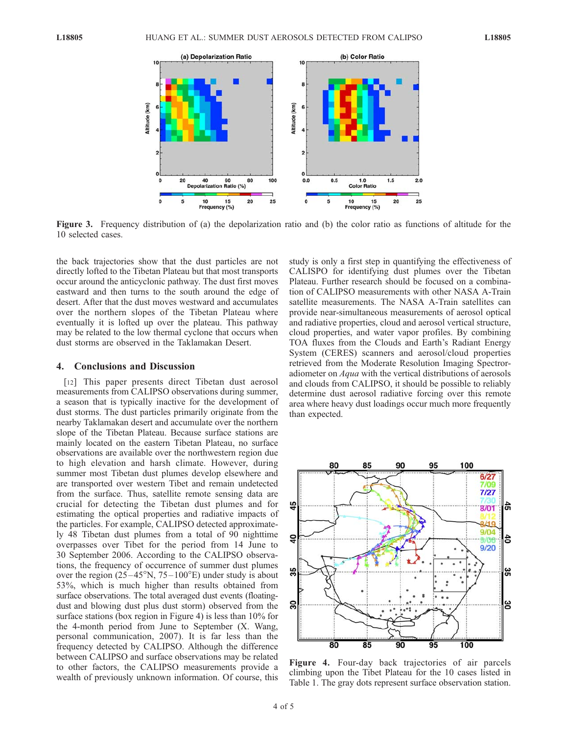

Figure 3. Frequency distribution of (a) the depolarization ratio and (b) the color ratio as functions of altitude for the 10 selected cases.

the back trajectories show that the dust particles are not directly lofted to the Tibetan Plateau but that most transports occur around the anticyclonic pathway. The dust first moves eastward and then turns to the south around the edge of desert. After that the dust moves westward and accumulates over the northern slopes of the Tibetan Plateau where eventually it is lofted up over the plateau. This pathway may be related to the low thermal cyclone that occurs when dust storms are observed in the Taklamakan Desert.

#### 4. Conclusions and Discussion

[12] This paper presents direct Tibetan dust aerosol measurements from CALIPSO observations during summer, a season that is typically inactive for the development of dust storms. The dust particles primarily originate from the nearby Taklamakan desert and accumulate over the northern slope of the Tibetan Plateau. Because surface stations are mainly located on the eastern Tibetan Plateau, no surface observations are available over the northwestern region due to high elevation and harsh climate. However, during summer most Tibetan dust plumes develop elsewhere and are transported over western Tibet and remain undetected from the surface. Thus, satellite remote sensing data are crucial for detecting the Tibetan dust plumes and for estimating the optical properties and radiative impacts of the particles. For example, CALIPSO detected approximately 48 Tibetan dust plumes from a total of 90 nighttime overpasses over Tibet for the period from 14 June to 30 September 2006. According to the CALIPSO observations, the frequency of occurrence of summer dust plumes over the region  $(25-45^{\circ}N, 75-100^{\circ}E)$  under study is about 53%, which is much higher than results obtained from surface observations. The total averaged dust events (floatingdust and blowing dust plus dust storm) observed from the surface stations (box region in Figure 4) is less than 10% for the 4-month period from June to September (X. Wang, personal communication, 2007). It is far less than the frequency detected by CALIPSO. Although the difference between CALIPSO and surface observations may be related to other factors, the CALIPSO measurements provide a wealth of previously unknown information. Of course, this

study is only a first step in quantifying the effectiveness of CALISPO for identifying dust plumes over the Tibetan Plateau. Further research should be focused on a combination of CALIPSO measurements with other NASA A-Train satellite measurements. The NASA A-Train satellites can provide near-simultaneous measurements of aerosol optical and radiative properties, cloud and aerosol vertical structure, cloud properties, and water vapor profiles. By combining TOA fluxes from the Clouds and Earth's Radiant Energy System (CERES) scanners and aerosol/cloud properties retrieved from the Moderate Resolution Imaging Spectroradiometer on Aqua with the vertical distributions of aerosols and clouds from CALIPSO, it should be possible to reliably determine dust aerosol radiative forcing over this remote area where heavy dust loadings occur much more frequently than expected.



Figure 4. Four-day back trajectories of air parcels climbing upon the Tibet Plateau for the 10 cases listed in Table 1. The gray dots represent surface observation station.